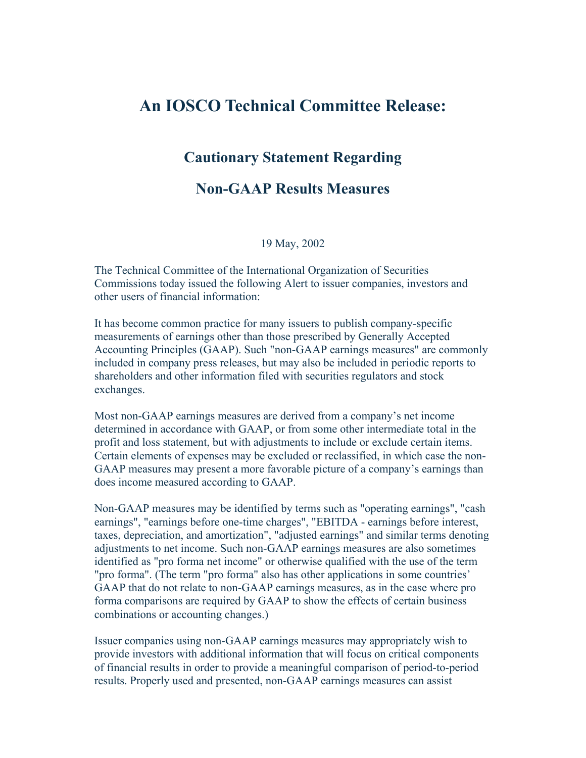# **An IOSCO Technical Committee Release:**

## **Cautionary Statement Regarding**

### **Non-GAAP Results Measures**

19 May, 2002

The Technical Committee of the International Organization of Securities Commissions today issued the following Alert to issuer companies, investors and other users of financial information:

It has become common practice for many issuers to publish company-specific measurements of earnings other than those prescribed by Generally Accepted Accounting Principles (GAAP). Such "non-GAAP earnings measures" are commonly included in company press releases, but may also be included in periodic reports to shareholders and other information filed with securities regulators and stock exchanges.

Most non-GAAP earnings measures are derived from a company's net income determined in accordance with GAAP, or from some other intermediate total in the profit and loss statement, but with adjustments to include or exclude certain items. Certain elements of expenses may be excluded or reclassified, in which case the non-GAAP measures may present a more favorable picture of a company's earnings than does income measured according to GAAP.

Non-GAAP measures may be identified by terms such as "operating earnings", "cash earnings", "earnings before one-time charges", "EBITDA - earnings before interest, taxes, depreciation, and amortization", "adjusted earnings" and similar terms denoting adjustments to net income. Such non-GAAP earnings measures are also sometimes identified as "pro forma net income" or otherwise qualified with the use of the term "pro forma". (The term "pro forma" also has other applications in some countries' GAAP that do not relate to non-GAAP earnings measures, as in the case where pro forma comparisons are required by GAAP to show the effects of certain business combinations or accounting changes.)

Issuer companies using non-GAAP earnings measures may appropriately wish to provide investors with additional information that will focus on critical components of financial results in order to provide a meaningful comparison of period-to-period results. Properly used and presented, non-GAAP earnings measures can assist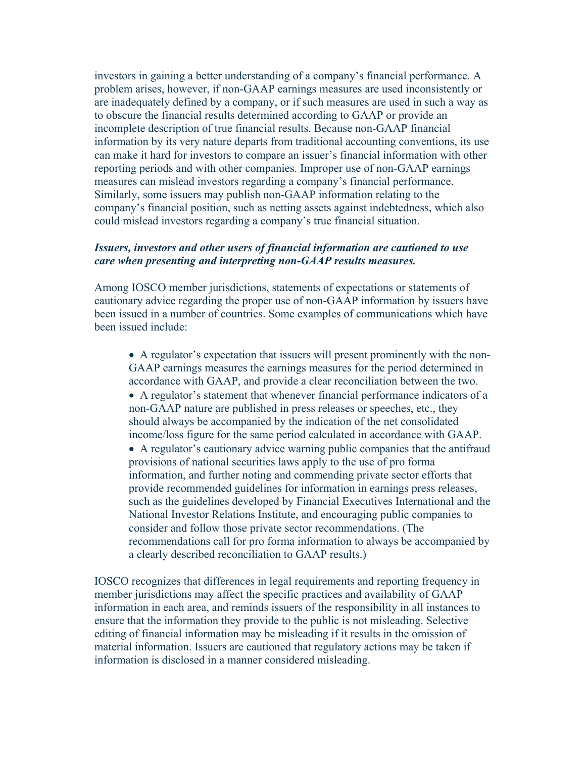investors in gaining a better understanding of a company's financial performance. A problem arises, however, if non-GAAP earnings measures are used inconsistently or are inadequately defined by a company, or if such measures are used in such a way as to obscure the financial results determined according to GAAP or provide an incomplete description of true financial results. Because non-GAAP financial information by its very nature departs from traditional accounting conventions, its use can make it hard for investors to compare an issuer's financial information with other reporting periods and with other companies. Improper use of non-GAAP earnings measures can mislead investors regarding a company's financial performance. Similarly, some issuers may publish non-GAAP information relating to the company's financial position, such as netting assets against indebtedness, which also could mislead investors regarding a company's true financial situation.

#### *Issuers, investors and other users of financial information are cautioned to use care when presenting and interpreting non-GAAP results measures.*

Among IOSCO member jurisdictions, statements of expectations or statements of cautionary advice regarding the proper use of non-GAAP information by issuers have been issued in a number of countries. Some examples of communications which have been issued include:

- A regulator's expectation that issuers will present prominently with the non-GAAP earnings measures the earnings measures for the period determined in accordance with GAAP, and provide a clear reconciliation between the two.
- A regulator's statement that whenever financial performance indicators of a non-GAAP nature are published in press releases or speeches, etc., they should always be accompanied by the indication of the net consolidated income/loss figure for the same period calculated in accordance with GAAP.
- A regulator's cautionary advice warning public companies that the antifraud provisions of national securities laws apply to the use of pro forma information, and further noting and commending private sector efforts that provide recommended guidelines for information in earnings press releases, such as the guidelines developed by Financial Executives International and the National Investor Relations Institute, and encouraging public companies to consider and follow those private sector recommendations. (The recommendations call for pro forma information to always be accompanied by a clearly described reconciliation to GAAP results.)

IOSCO recognizes that differences in legal requirements and reporting frequency in member jurisdictions may affect the specific practices and availability of GAAP information in each area, and reminds issuers of the responsibility in all instances to ensure that the information they provide to the public is not misleading. Selective editing of financial information may be misleading if it results in the omission of material information. Issuers are cautioned that regulatory actions may be taken if information is disclosed in a manner considered misleading.